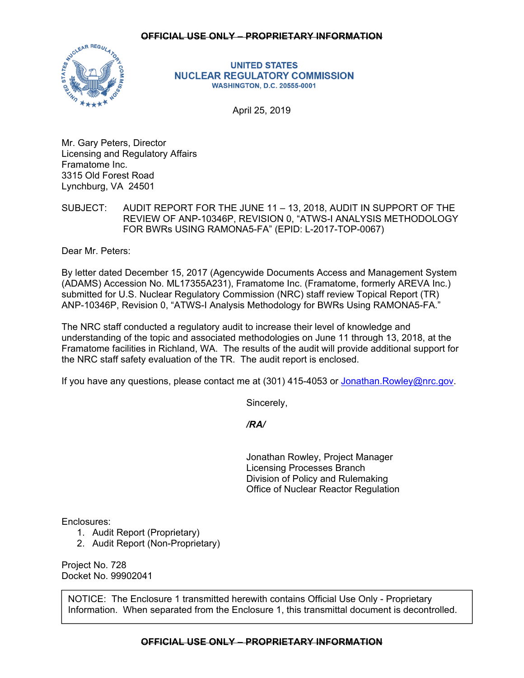## **OFFICIAL USE ONLY – PROPRIETARY INFORMATION**



**UNITED STATES NUCLEAR REGULATORY COMMISSION WASHINGTON, D.C. 20555-0001** 

April 25, 2019

Mr. Gary Peters, Director Licensing and Regulatory Affairs Framatome Inc. 3315 Old Forest Road Lynchburg, VA 24501

SUBJECT: AUDIT REPORT FOR THE JUNE 11 – 13, 2018, AUDIT IN SUPPORT OF THE REVIEW OF ANP-10346P, REVISION 0, "ATWS-I ANALYSIS METHODOLOGY FOR BWRs USING RAMONA5-FA" (EPID: L-2017-TOP-0067)

Dear Mr. Peters:

By letter dated December 15, 2017 (Agencywide Documents Access and Management System (ADAMS) Accession No. ML17355A231), Framatome Inc. (Framatome, formerly AREVA Inc.) submitted for U.S. Nuclear Regulatory Commission (NRC) staff review Topical Report (TR) ANP-10346P, Revision 0, "ATWS-I Analysis Methodology for BWRs Using RAMONA5-FA."

The NRC staff conducted a regulatory audit to increase their level of knowledge and understanding of the topic and associated methodologies on June 11 through 13, 2018, at the Framatome facilities in Richland, WA. The results of the audit will provide additional support for the NRC staff safety evaluation of the TR. The audit report is enclosed.

If you have any questions, please contact me at (301) 415-4053 or Jonathan. Rowley@nrc.gov.

Sincerely,

*/RA/* 

Jonathan Rowley, Project Manager Licensing Processes Branch Division of Policy and Rulemaking Office of Nuclear Reactor Regulation

Enclosures:

- 1. Audit Report (Proprietary)
- 2. Audit Report (Non-Proprietary)

Project No. 728 Docket No. 99902041

NOTICE: The Enclosure 1 transmitted herewith contains Official Use Only - Proprietary Information. When separated from the Enclosure 1, this transmittal document is decontrolled.